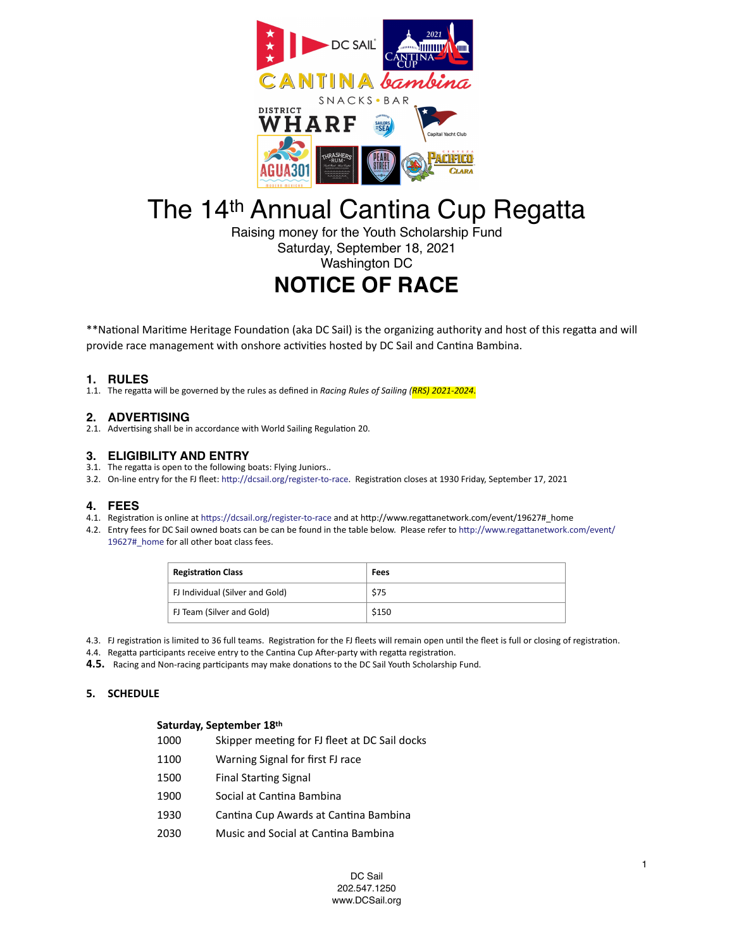

# The 14th Annual Cantina Cup Regatta

Raising money for the Youth Scholarship Fund Saturday, September 18, 2021 Washington DC

# **NOTICE OF RACE**

\*\*National Maritime Heritage Foundation (aka DC Sail) is the organizing authority and host of this regatta and will provide race management with onshore activities hosted by DC Sail and Cantina Bambina.

# **1. RULES**

1.1. The regatta will be governed by the rules as defined in *Racing Rules of Sailing (RRS) 2021-2024*.

# **2. ADVERTISING**

2.1. Advertising shall be in accordance with World Sailing Regulation 20.

# **3. ELIGIBILITY AND ENTRY**

- 3.1. The regatta is open to the following boats: Flying Juniors..
- 3.2. On-line entry for the FJ fleet: [http://dcsail.org/register-to-race.](http://dcsail.org/register-to-race) Registration closes at 1930 Friday, September 17, 2021

# **4. FEES**

- 4.1. Registration is online at <https://dcsail.org/register-to-race>and at http://www.regattanetwork.com/event/19627#\_home
- 4.2. Entry fees for DC Sail owned boats can be can be found in the table below. Please refer to [http://www.regattanetwork.com/event/](http://www.regattanetwork.com/event/19627#_home) [19627#\\_home](http://www.regattanetwork.com/event/19627#_home) for all other boat class fees.

| <b>Registration Class</b>       | Fees  |
|---------------------------------|-------|
| FJ Individual (Silver and Gold) | S75   |
| FJ Team (Silver and Gold)       | \$150 |

- 4.3. FJ registration is limited to 36 full teams. Registration for the FJ fleets will remain open until the fleet is full or closing of registration.
- 4.4. Regatta participants receive entry to the Cantina Cup After-party with regatta registration.
- **4.5.** Racing and Non-racing participants may make donations to the DC Sail Youth Scholarship Fund.

# **5. SCHEDULE**

# **Saturday, September 18th**

- 1000 Skipper meeting for FJ fleet at DC Sail docks
- 1100 Warning Signal for first FJ race
- 1500 Final Starting Signal
- 1900 Social at Cantina Bambina
- 1930 Cantina Cup Awards at Cantina Bambina
- 2030 Music and Social at Cantina Bambina